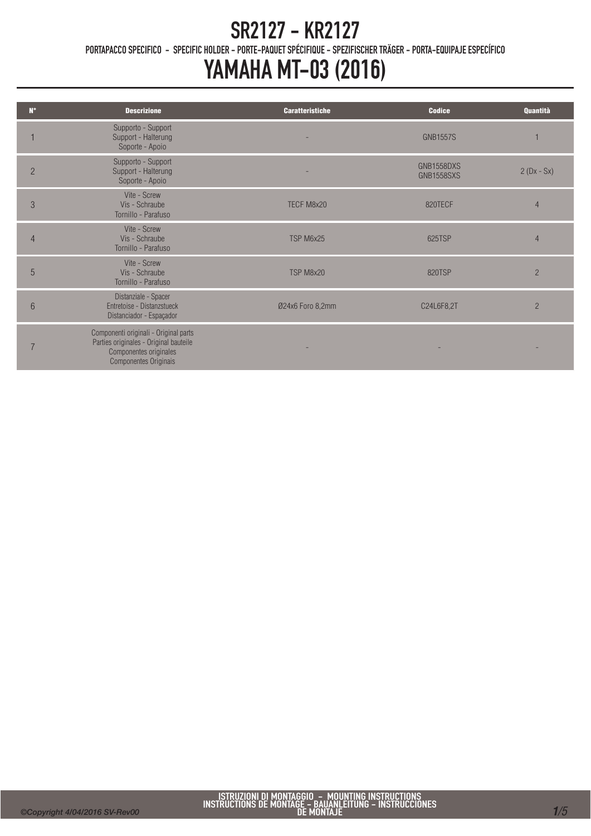PORTAPACCO SPECIFICO - SPECIFIC HOLDER - PORTE-PAQUET SPÉCIFIQUE - SPEZIFISCHER TRÄGER - PORTA-EQUIPAJE ESPECÍFICO

| $N^{\circ}$    | <b>Descrizione</b>                                                                                                                        | <b>Caratteristiche</b> | <b>Codice</b>                   | Quantità       |
|----------------|-------------------------------------------------------------------------------------------------------------------------------------------|------------------------|---------------------------------|----------------|
|                | Supporto - Support<br>Support - Halterung<br>Soporte - Apoio                                                                              |                        | <b>GNB1557S</b>                 |                |
| $\overline{2}$ | Supporto - Support<br>Support - Halterung<br>Soporte - Apoio                                                                              |                        | GNB1558DXS<br><b>GNB1558SXS</b> | $2(Dx - Sx)$   |
| 3              | Vite - Screw<br>Vis - Schraube<br>Tornillo - Parafuso                                                                                     | TECF M8x20             | 820TECF                         | $\overline{4}$ |
| $\overline{4}$ | Vite - Screw<br>Vis - Schraube<br>Tornillo - Parafuso                                                                                     | TSP M6x25              | 625TSP                          | 4              |
| 5              | Vite - Screw<br>Vis - Schraube<br>Tornillo - Parafuso                                                                                     | TSP M8x20              | 820TSP                          | $\overline{2}$ |
| 6              | Distanziale - Spacer<br>Entretoise - Distanzstueck<br>Distanciador - Espaçador                                                            | Ø24x6 Foro 8,2mm       | C24L6F8,2T                      | $\overline{2}$ |
|                | Componenti originali - Original parts<br>Parties originales - Original bauteile<br>Componentes originales<br><b>Componentes Originais</b> |                        |                                 |                |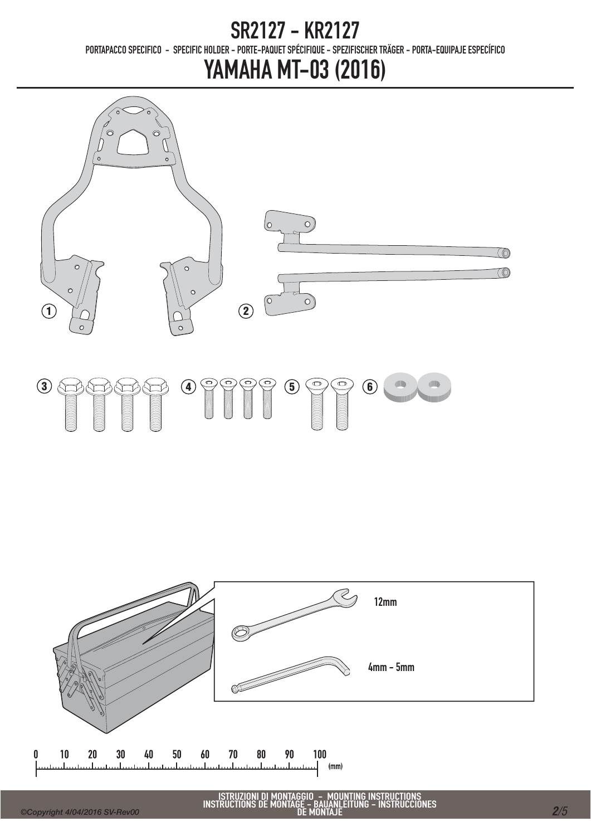PORTAPACCO SPECIFICO - SPECIFIC HOLDER - PORTE-PAQUET SPÉCIFIQUE - SPEZIFISCHER TRÄGER - PORTA-EQUIPAJE ESPECÍFICO





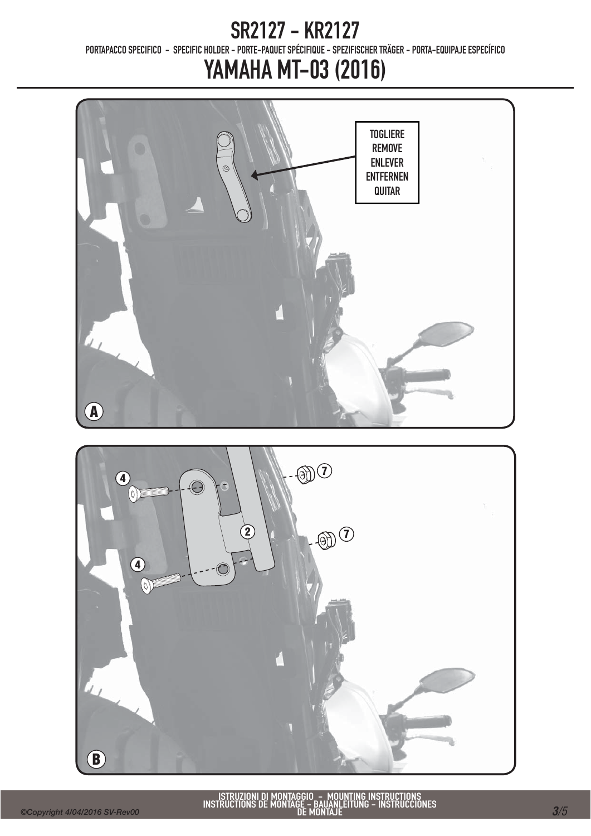PORTAPACCO SPECIFICO - SPECIFIC HOLDER - PORTE-PAQUET SPÉCIFIQUE - SPEZIFISCHER TRÄGER - PORTA-EQUIPAJE ESPECÍFICO



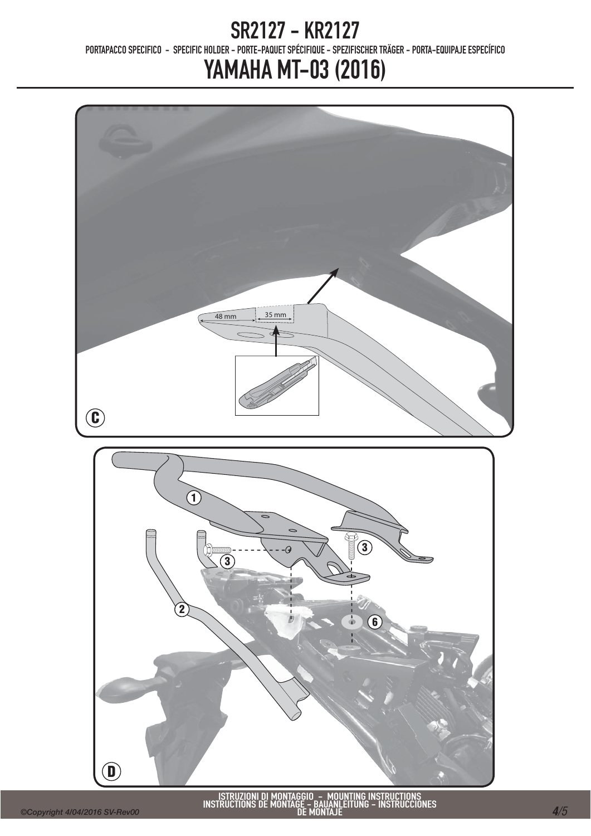PORTAPACCO SPECIFICO - SPECIFIC HOLDER - PORTE-PAQUET SPÉCIFIQUE - SPEZIFISCHER TRÄGER - PORTA-EQUIPAJE ESPECÍFICO